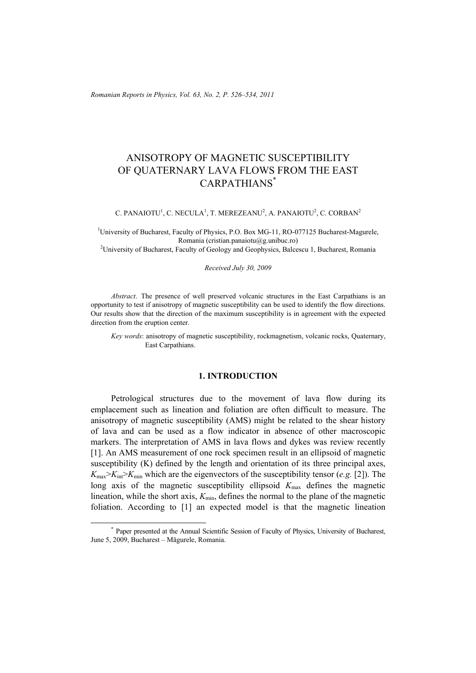*Romanian Reports in Physics, Vol. 63, No. 2, P. 526–534, 2011*

# ANISOTROPY OF MAGNETIC SUSCEPTIBILITY OF QUATERNARY LAVA FLOWS FROM THE EAST CARPATHIANS\*

C. PANAIOTU<sup>1</sup>, C. NECULA<sup>1</sup>, T. MEREZEANU<sup>2</sup>, A. PANAIOTU<sup>2</sup>, C. CORBAN<sup>2</sup>

<sup>1</sup>University of Bucharest, Faculty of Physics, P.O. Box MG-11, RO-077125 Bucharest-Magurele, Romania (cristian.panaiotu@g.unibuc.ro)<br><sup>2</sup> University of Bucharest, Faculty of Geology and Geophysics, Balcescu 1, Bucharest, Romania<sup>2</sup>

### *Received July 30, 2009*

*Abstract*. The presence of well preserved volcanic structures in the East Carpathians is an opportunity to test if anisotropy of magnetic susceptibility can be used to identify the flow directions. Our results show that the direction of the maximum susceptibility is in agreement with the expected direction from the eruption center.

*Key words*: anisotropy of magnetic susceptibility, rockmagnetism, volcanic rocks, Quaternary, East Carpathians.

# **1. INTRODUCTION**

Petrological structures due to the movement of lava flow during its emplacement such as lineation and foliation are often difficult to measure. The anisotropy of magnetic susceptibility (AMS) might be related to the shear history of lava and can be used as a flow indicator in absence of other macroscopic markers. The interpretation of AMS in lava flows and dykes was review recently [1]. An AMS measurement of one rock specimen result in an ellipsoid of magnetic susceptibility (K) defined by the length and orientation of its three principal axes,  $K_{\text{max}} > K_{\text{int}} > K_{\text{min}}$  which are the eigenvectors of the susceptibility tensor (*e.g.* [2]). The long axis of the magnetic susceptibility ellipsoid  $K_{\text{max}}$  defines the magnetic lineation, while the short axis,  $K_{\text{min}}$ , defines the normal to the plane of the magnetic foliation. According to [1] an expected model is that the magnetic lineation

 <sup>\*</sup> Paper presented at the Annual Scientific Session of Faculty of Physics, University of Bucharest, June 5, 2009, Bucharest – Măgurele, Romania.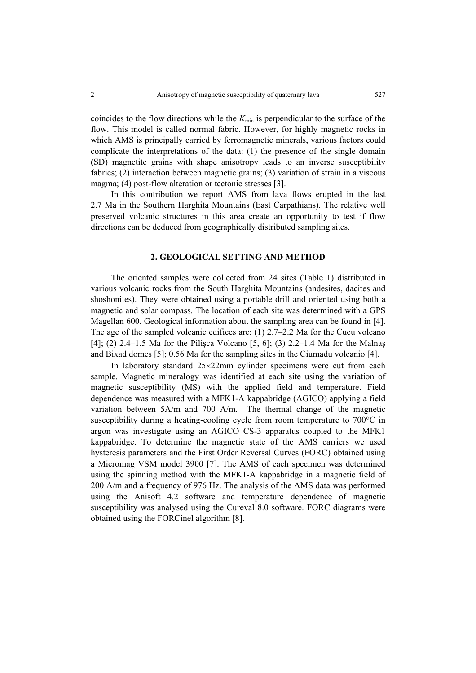coincides to the flow directions while the  $K_{\text{min}}$  is perpendicular to the surface of the flow. This model is called normal fabric. However, for highly magnetic rocks in which AMS is principally carried by ferromagnetic minerals, various factors could complicate the interpretations of the data: (1) the presence of the single domain (SD) magnetite grains with shape anisotropy leads to an inverse susceptibility fabrics; (2) interaction between magnetic grains; (3) variation of strain in a viscous magma; (4) post-flow alteration or tectonic stresses [3].

In this contribution we report AMS from lava flows erupted in the last 2.7 Ma in the Southern Harghita Mountains (East Carpathians). The relative well preserved volcanic structures in this area create an opportunity to test if flow directions can be deduced from geographically distributed sampling sites.

# **2. GEOLOGICAL SETTING AND METHOD**

The oriented samples were collected from 24 sites (Table 1) distributed in various volcanic rocks from the South Harghita Mountains (andesites, dacites and shoshonites). They were obtained using a portable drill and oriented using both a magnetic and solar compass. The location of each site was determined with a GPS Magellan 600. Geological information about the sampling area can be found in [4]. The age of the sampled volcanic edifices are: (1) 2.7–2.2 Ma for the Cucu volcano [4]; (2) 2.4–1.5 Ma for the Pilişca Volcano [5, 6]; (3) 2.2–1.4 Ma for the Malnaş and Bixad domes [5]; 0.56 Ma for the sampling sites in the Ciumadu volcanio [4].

In laboratory standard 25×22mm cylinder specimens were cut from each sample. Magnetic mineralogy was identified at each site using the variation of magnetic susceptibility (MS) with the applied field and temperature. Field dependence was measured with a MFK1-A kappabridge (AGICO) applying a field variation between 5A/m and 700 A/m. The thermal change of the magnetic susceptibility during a heating-cooling cycle from room temperature to 700°C in argon was investigate using an AGICO CS-3 apparatus coupled to the MFK1 kappabridge. To determine the magnetic state of the AMS carriers we used hysteresis parameters and the First Order Reversal Curves (FORC) obtained using a Micromag VSM model 3900 [7]. The AMS of each specimen was determined using the spinning method with the MFK1-A kappabridge in a magnetic field of 200 A/m and a frequency of 976 Hz. The analysis of the AMS data was performed using the Anisoft 4.2 software and temperature dependence of magnetic susceptibility was analysed using the Cureval 8.0 software. FORC diagrams were obtained using the FORCinel algorithm [8].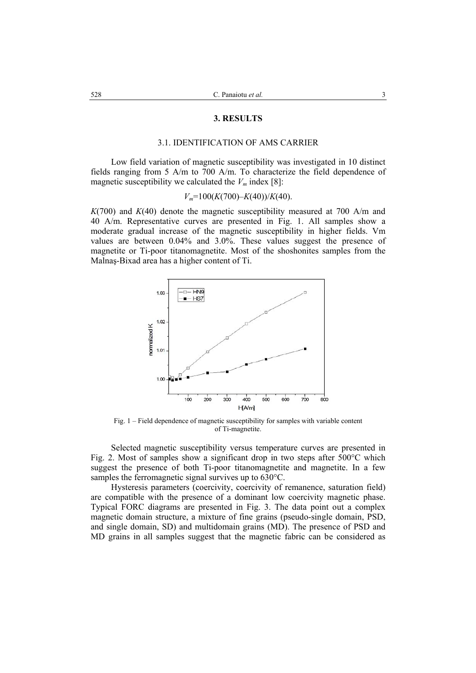#### **3. RESULTS**

### 3.1. IDENTIFICATION OF AMS CARRIER

Low field variation of magnetic susceptibility was investigated in 10 distinct fields ranging from 5 A/m to 700 A/m. To characterize the field dependence of magnetic susceptibility we calculated the  $V_m$  index [8]:

$$
V_m=100(K(700)-K(40))/K(40).
$$

*K*(700) and *K*(40) denote the magnetic susceptibility measured at 700 A/m and 40 A/m. Representative curves are presented in Fig. 1. All samples show a moderate gradual increase of the magnetic susceptibility in higher fields. Vm values are between 0.04% and 3.0%. These values suggest the presence of magnetite or Ti-poor titanomagnetite. Most of the shoshonites samples from the Malnaş-Bixad area has a higher content of Ti.



Fig. 1 – Field dependence of magnetic susceptibility for samples with variable content of Ti-magnetite.

 Selected magnetic susceptibility versus temperature curves are presented in Fig. 2. Most of samples show a significant drop in two steps after 500°C which suggest the presence of both Ti-poor titanomagnetite and magnetite. In a few samples the ferromagnetic signal survives up to 630°C.

 Hysteresis parameters (coercivity, coercivity of remanence, saturation field) are compatible with the presence of a dominant low coercivity magnetic phase. Typical FORC diagrams are presented in Fig. 3. The data point out a complex magnetic domain structure, a mixture of fine grains (pseudo-single domain, PSD, and single domain, SD) and multidomain grains (MD). The presence of PSD and MD grains in all samples suggest that the magnetic fabric can be considered as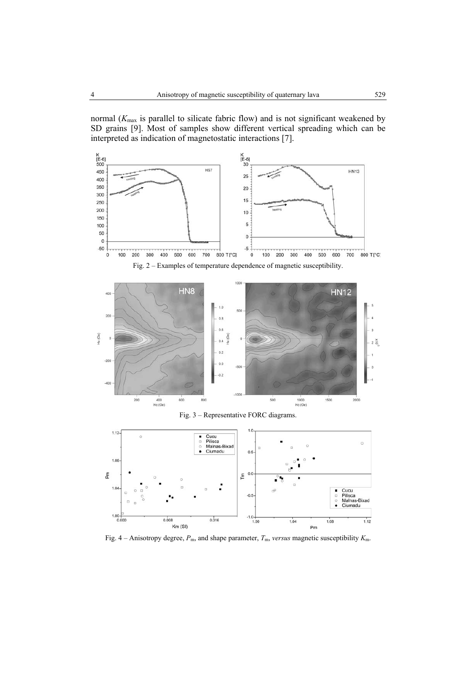normal (*K*max is parallel to silicate fabric flow) and is not significant weakened by SD grains [9]. Most of samples show different vertical spreading which can be interpreted as indication of magnetostatic interactions [7].



Fig. 3 – Representative FORC diagrams.



Fig. 4 – Anisotropy degree,  $P_{\text{m}}$ , and shape parameter,  $T_{\text{m}}$ , *versus* magnetic susceptibility  $K_{\text{m}}$ .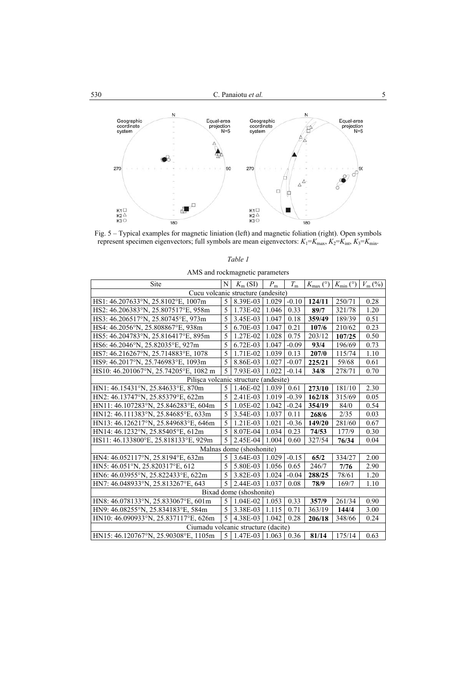

Fig. 5 – Typical examples for magnetic liniation (left) and magnetic foliation (right). Open symbols represent specimen eigenvectors; full symbols are mean eigenvectors:  $K_1 = K_{\text{max}}$ ,  $K_2 = K_{\text{int}}$ ,  $K_3 = K_{\text{min}}$ .

*Table 1* 

| AMS and rockmagnetic parameters       |   |                              |             |             |        |                                                              |      |
|---------------------------------------|---|------------------------------|-------------|-------------|--------|--------------------------------------------------------------|------|
| Site                                  | N | $K_{m}$ (SI)                 | $P_{\rm m}$ | $T_{\rm m}$ |        | $K_{\text{max}}$ (°) $K_{\text{min}}$ (°) $V_{\text{m}}$ (%) |      |
| Cucu volcanic structure (andesite)    |   |                              |             |             |        |                                                              |      |
| HS1: 46.207633°N, 25.8102°E, 1007m    | 5 | 8.39E-03                     | 1.029       | $-0.10$     | 124/11 | 250/71                                                       | 0.28 |
| HS2: 46.206383°N, 25.807517°E, 958m   | 5 | 1.73E-02                     | 1.046       | 0.33        | 89/7   | 321/78                                                       | 1.20 |
| HS3: 46.206517°N, 25.80745°E, 973m    | 5 | 3.45E-03 1.047               |             | 0.18        | 359/49 | 189/39                                                       | 0.51 |
| HS4: 46.2056°N, 25.808867°E, 938m     | 5 | 6.70E-03                     | 1.047       | 0.21        | 107/6  | 210/62                                                       | 0.23 |
| HS5: 46.204783°N, 25.816417°E, 895m   | 5 | 1.27E-02                     | 1.028       | 0.75        | 203/12 | 107/25                                                       | 0.50 |
| HS6: 46.2046°N, 25.82035°E, 927m      | 5 | 6.72E-03                     | 1.047       | $-0.09$     | 93/4   | 196/69                                                       | 0.73 |
| HS7: 46.216267°N, 25.714883°E, 1078   | 5 | 1.71E-02                     | 1.039       | 0.13        | 207/0  | 115/74                                                       | 1.10 |
| HS9: 46.2017°N, 25.746983°E, 1093m    | 5 | 8.86E-03                     | 1.027       | $-0.07$     | 225/21 | 59/68                                                        | 0.61 |
| HS10: 46.201067°N, 25.74205°E, 1082 m | 5 | 7.93E-03                     | 1.022       | $-0.14$     | 34/8   | 278/71                                                       | 0.70 |
| Pilișca volcanic structure (andesite) |   |                              |             |             |        |                                                              |      |
| HN1: 46.15431°N, 25.84633°E, 870m     | 5 | 1.46E-02                     | 1.039       | 0.61        | 273/10 | 181/10                                                       | 2.30 |
| HN2: 46.13747°N, 25.85379°E, 622m     | 5 | 2.41E-03                     | 1.019       | $-0.39$     | 162/18 | 315/69                                                       | 0.05 |
| HN11: 46.107283°N, 25.846283°E, 604m  | 5 | 1.05E-02                     | 1.042       | $-0.24$     | 354/19 | 84/0                                                         | 0.54 |
| HN12: 46.111383°N, 25.84685°E, 633m   | 5 | 3.54E-03                     | 1.037       | 0.11        | 268/6  | 2/35                                                         | 0.03 |
| HN13: 46.126217°N, 25.849683°E, 646m  | 5 | 1.21E-03                     | 1.021       | $-0.36$     | 149/20 | 281/60                                                       | 0.67 |
| HN14: 46.1232°N, 25.85405°E, 612m     | 5 | 8.07E-04                     | 1.034       | 0.23        | 74/53  | 177/9                                                        | 0.30 |
| HS11: 46.133800°E, 25.818133°E, 929m  | 5 | 2.45E-04                     | 1.004       | 0.60        | 327/54 | 76/34                                                        | 0.04 |
| Malnas dome (shoshonite)              |   |                              |             |             |        |                                                              |      |
| HN4: 46.052117°N, 25.8194°E, 632m     | 5 | 3.64E-03                     | 1.029       | $-0.15$     | 65/2   | 334/27                                                       | 2.00 |
| HN5: 46.051°N, 25.820317°E, 612       | 5 | 5.80E-03                     | 1.056       | 0.65        | 246/7  | 7/76                                                         | 2.90 |
| HN6: 46.03955°N, 25.822433°E, 622m    | 5 | 3.82E-03 1.024               |             | $-0.04$     | 288/25 | 78/61                                                        | 1.20 |
| HN7: 46.048933°N, 25.813267°E, 643    | 5 | 2.44E-03                     | 1.037       | 0.08        | 78/9   | 169/7                                                        | 1.10 |
| Bixad dome (shoshonite)               |   |                              |             |             |        |                                                              |      |
| HN8: 46.078133°N, 25.833067°E, 601m   | 5 | 1.04E-02                     | 1.053       | 0.33        | 357/9  | 261/34                                                       | 0.90 |
| HN9: 46.08255°N, 25.834183°E, 584m    | 5 | 3.38E-03                     | 1.115       | 0.71        | 363/19 | 144/4                                                        | 3.00 |
| HN10: 46.090933°N, 25.837117°E, 626m  | 5 | 4.38E-03                     | 1.042       | 0.28        | 206/18 | 348/66                                                       | 0.24 |
| Ciumadu volcanic structure (dacite)   |   |                              |             |             |        |                                                              |      |
| HN15: 46.120767°N, 25.90308°E, 1105m  |   | $5 \mid 1.47E-03 \mid 1.063$ |             | 0.36        | 81/14  | 175/14                                                       | 0.63 |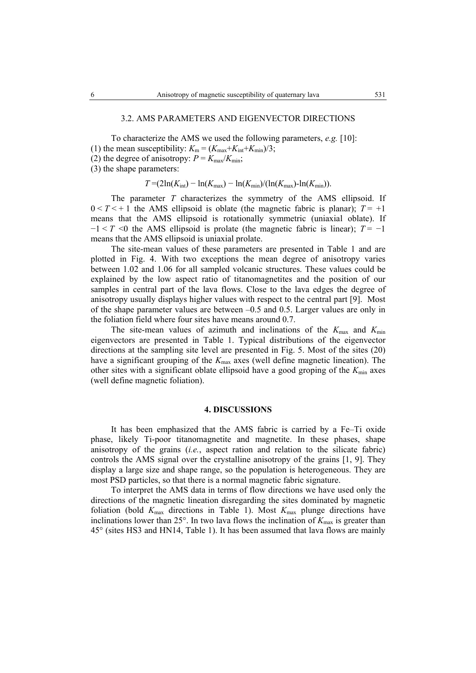## 3.2. AMS PARAMETERS AND EIGENVECTOR DIRECTIONS

To characterize the AMS we used the following parameters, *e.g.* [10]: (1) the mean susceptibility:  $K_m = (K_{\text{max}}+K_{\text{int}}+K_{\text{min}})/3$ ; (2) the degree of anisotropy:  $P = K_{\text{max}}/K_{\text{min}}$ ; (3) the shape parameters:

$$
T = (2\ln(K_{\text{int}}) - \ln(K_{\text{max}}) - \ln(K_{\text{min}})/( \ln(K_{\text{max}}) - \ln(K_{\text{min}})).
$$

The parameter *T* characterizes the symmetry of the AMS ellipsoid. If  $0 < T < +1$  the AMS ellipsoid is oblate (the magnetic fabric is planar);  $T = +1$ means that the AMS ellipsoid is rotationally symmetric (uniaxial oblate). If  $-1 < T < 0$  the AMS ellipsoid is prolate (the magnetic fabric is linear);  $T = -1$ means that the AMS ellipsoid is uniaxial prolate.

The site-mean values of these parameters are presented in Table 1 and are plotted in Fig. 4. With two exceptions the mean degree of anisotropy varies between 1.02 and 1.06 for all sampled volcanic structures. These values could be explained by the low aspect ratio of titanomagnetites and the position of our samples in central part of the lava flows. Close to the lava edges the degree of anisotropy usually displays higher values with respect to the central part [9]. Most of the shape parameter values are between –0.5 and 0.5. Larger values are only in the foliation field where four sites have means around 0.7.

The site-mean values of azimuth and inclinations of the  $K_{\text{max}}$  and  $K_{\text{min}}$ eigenvectors are presented in Table 1. Typical distributions of the eigenvector directions at the sampling site level are presented in Fig. 5. Most of the sites (20) have a significant grouping of the  $K_{\text{max}}$  axes (well define magnetic lineation). The other sites with a significant oblate ellipsoid have a good groping of the *K*min axes (well define magnetic foliation).

### **4. DISCUSSIONS**

It has been emphasized that the AMS fabric is carried by a Fe–Ti oxide phase, likely Ti-poor titanomagnetite and magnetite. In these phases, shape anisotropy of the grains (*i.e.*, aspect ration and relation to the silicate fabric) controls the AMS signal over the crystalline anisotropy of the grains [1, 9]. They display a large size and shape range, so the population is heterogeneous. They are most PSD particles, so that there is a normal magnetic fabric signature.

 To interpret the AMS data in terms of flow directions we have used only the directions of the magnetic lineation disregarding the sites dominated by magnetic foliation (bold  $K_{\text{max}}$  directions in Table 1). Most  $K_{\text{max}}$  plunge directions have inclinations lower than  $25^\circ$ . In two lava flows the inclination of  $K_{\text{max}}$  is greater than 45° (sites HS3 and HN14, Table 1). It has been assumed that lava flows are mainly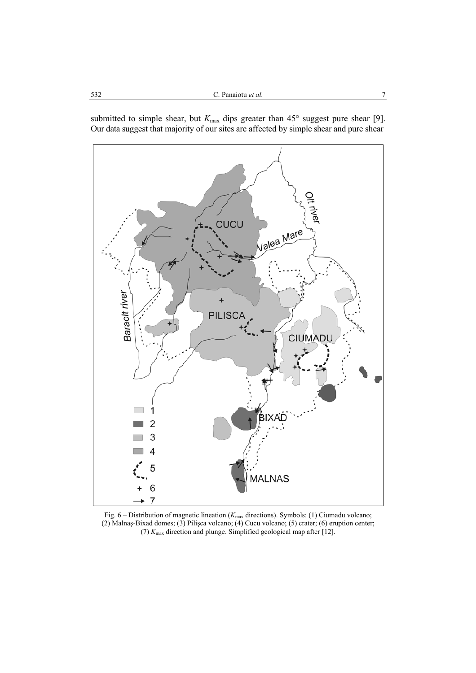



Fig. 6 – Distribution of magnetic lineation ( $K_{\text{max}}$  directions). Symbols: (1) Ciumadu volcano; (2) Malnaş-Bixad domes; (3) Pilişca volcano; (4) Cucu volcano; (5) crater; (6) eruption center; (7) *K*max direction and plunge. Simplified geological map after [12].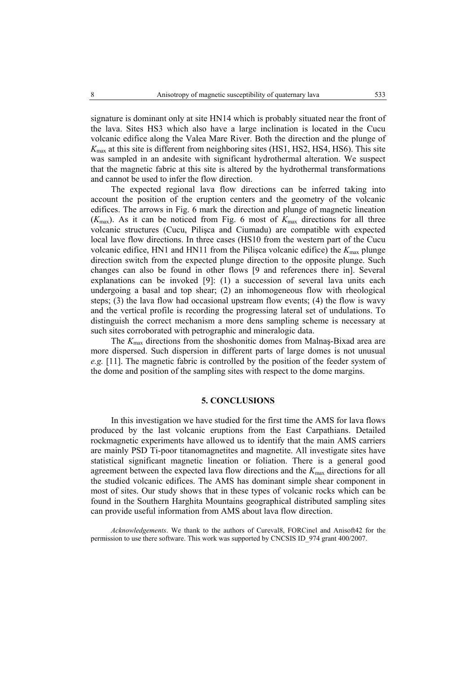signature is dominant only at site HN14 which is probably situated near the front of the lava. Sites HS3 which also have a large inclination is located in the Cucu volcanic edifice along the Valea Mare River. Both the direction and the plunge of *K*max at this site is different from neighboring sites (HS1, HS2, HS4, HS6). This site was sampled in an andesite with significant hydrothermal alteration. We suspect that the magnetic fabric at this site is altered by the hydrothermal transformations and cannot be used to infer the flow direction.

 The expected regional lava flow directions can be inferred taking into account the position of the eruption centers and the geometry of the volcanic edifices. The arrows in Fig. 6 mark the direction and plunge of magnetic lineation  $(K_{\text{max}})$ . As it can be noticed from Fig. 6 most of  $K_{\text{max}}$  directions for all three volcanic structures (Cucu, Pilişca and Ciumadu) are compatible with expected local lave flow directions. In three cases (HS10 from the western part of the Cucu volcanic edifice, HN1 and HN11 from the Pilisca volcanic edifice) the  $K_{\text{max}}$  plunge direction switch from the expected plunge direction to the opposite plunge. Such changes can also be found in other flows [9 and references there in]. Several explanations can be invoked [9]: (1) a succession of several lava units each undergoing a basal and top shear; (2) an inhomogeneous flow with rheological steps; (3) the lava flow had occasional upstream flow events; (4) the flow is wavy and the vertical profile is recording the progressing lateral set of undulations. To distinguish the correct mechanism a more dens sampling scheme is necessary at such sites corroborated with petrographic and mineralogic data.

The  $K_{\text{max}}$  directions from the shoshonitic domes from Malnaş-Bixad area are more dispersed. Such dispersion in different parts of large domes is not unusual *e.g.* [11]. The magnetic fabric is controlled by the position of the feeder system of the dome and position of the sampling sites with respect to the dome margins.

## **5. CONCLUSIONS**

 In this investigation we have studied for the first time the AMS for lava flows produced by the last volcanic eruptions from the East Carpathians. Detailed rockmagnetic experiments have allowed us to identify that the main AMS carriers are mainly PSD Ti-poor titanomagnetites and magnetite. All investigate sites have statistical significant magnetic lineation or foliation. There is a general good agreement between the expected lava flow directions and the  $K_{\text{max}}$  directions for all the studied volcanic edifices. The AMS has dominant simple shear component in most of sites. Our study shows that in these types of volcanic rocks which can be found in the Southern Harghita Mountains geographical distributed sampling sites can provide useful information from AMS about lava flow direction.

*Acknowledgements*. We thank to the authors of Cureval8, FORCinel and Anisoft42 for the permission to use there software. This work was supported by CNCSIS ID\_974 grant 400/2007.